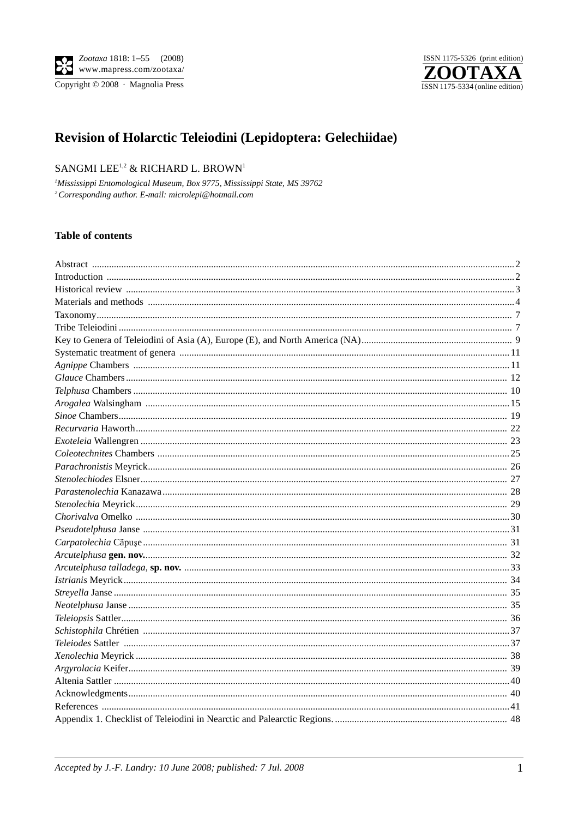

# Revision of Holarctic Teleiodini (Lepidoptera: Gelechiidae)

# SANGMI LEE<sup>1,2</sup> & RICHARD L. BROWN<sup>1</sup>

<sup>1</sup>Mississippi Entomological Museum, Box 9775, Mississippi State, MS 39762 <sup>2</sup> Corresponding author. E-mail: microlepi@hotmail.com

## **Table of contents**